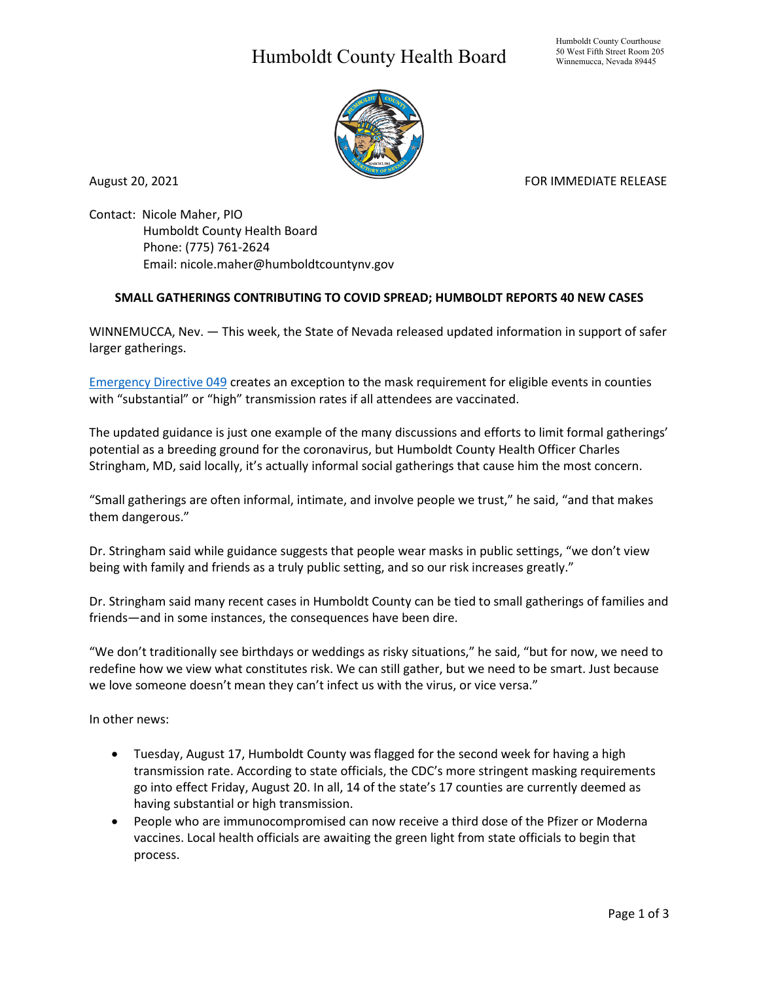## Humboldt County Health Board



August 20, 2021 **FOR IMMEDIATE RELEASE** 

Contact: Nicole Maher, PIO Humboldt County Health Board Phone: (775) 761-2624 Email: nicole.maher@humboldtcountynv.gov

## **SMALL GATHERINGS CONTRIBUTING TO COVID SPREAD; HUMBOLDT REPORTS 40 NEW CASES**

WINNEMUCCA, Nev. — This week, the State of Nevada released updated information in support of safer larger gatherings.

[Emergency Directive 049](https://nvhealthresponse.nv.gov/wp-content/uploads/2021/08/Emergency-Directive-049.pdf) creates an exception to the mask requirement for eligible events in counties with "substantial" or "high" transmission rates if all attendees are vaccinated.

The updated guidance is just one example of the many discussions and efforts to limit formal gatherings' potential as a breeding ground for the coronavirus, but Humboldt County Health Officer Charles Stringham, MD, said locally, it's actually informal social gatherings that cause him the most concern.

"Small gatherings are often informal, intimate, and involve people we trust," he said, "and that makes them dangerous."

Dr. Stringham said while guidance suggests that people wear masks in public settings, "we don't view being with family and friends as a truly public setting, and so our risk increases greatly."

Dr. Stringham said many recent cases in Humboldt County can be tied to small gatherings of families and friends—and in some instances, the consequences have been dire.

"We don't traditionally see birthdays or weddings as risky situations," he said, "but for now, we need to redefine how we view what constitutes risk. We can still gather, but we need to be smart. Just because we love someone doesn't mean they can't infect us with the virus, or vice versa."

In other news:

- Tuesday, August 17, Humboldt County was flagged for the second week for having a high transmission rate. According to state officials, the CDC's more stringent masking requirements go into effect Friday, August 20. In all, 14 of the state's 17 counties are currently deemed as having substantial or high transmission.
- People who are immunocompromised can now receive a third dose of the Pfizer or Moderna vaccines. Local health officials are awaiting the green light from state officials to begin that process.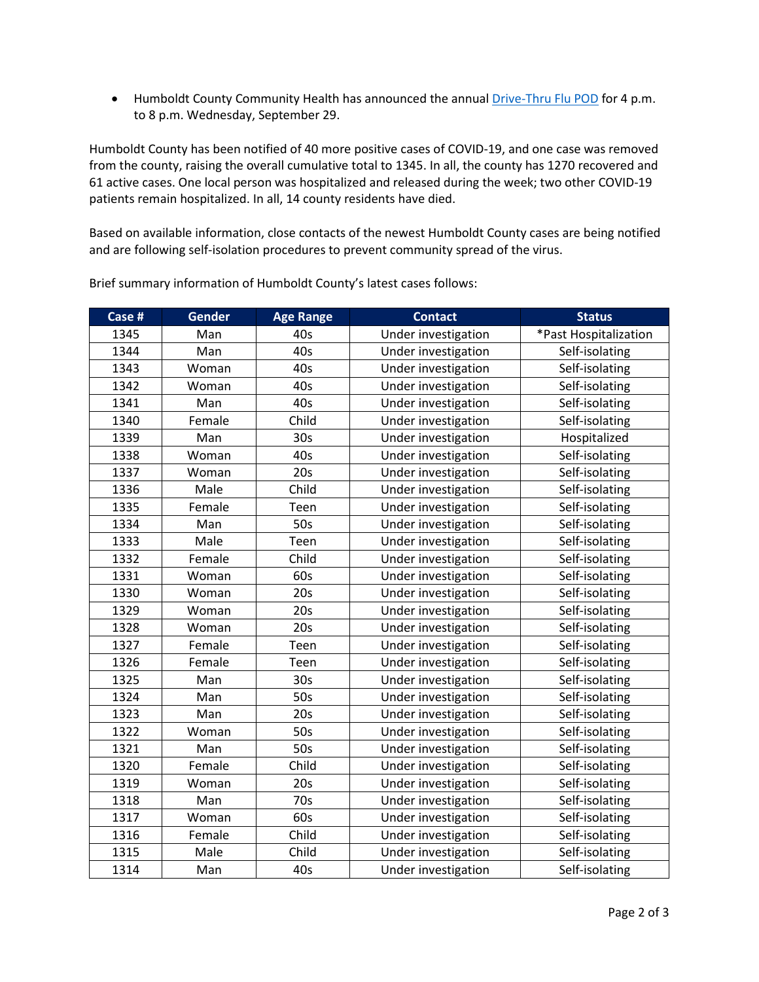• Humboldt County Community Health has announced the annual [Drive-Thru Flu POD](https://www.humboldtcountynv.gov/DocumentCenter/View/5644/All-Humboldt-County-Residents-Encouraged-to-Participate-in-Drive-Thru-Flu-Shot-Clinic0821) for 4 p.m. to 8 p.m. Wednesday, September 29.

Humboldt County has been notified of 40 more positive cases of COVID-19, and one case was removed from the county, raising the overall cumulative total to 1345. In all, the county has 1270 recovered and active cases. One local person was hospitalized and released during the week; two other COVID-19 patients remain hospitalized. In all, 14 county residents have died.

Based on available information, close contacts of the newest Humboldt County cases are being notified and are following self-isolation procedures to prevent community spread of the virus.

| Case # | Gender | <b>Age Range</b> | <b>Contact</b>      | <b>Status</b>         |
|--------|--------|------------------|---------------------|-----------------------|
| 1345   | Man    | 40s              | Under investigation | *Past Hospitalization |
| 1344   | Man    | 40s              | Under investigation | Self-isolating        |
| 1343   | Woman  | 40s              | Under investigation | Self-isolating        |
| 1342   | Woman  | 40s              | Under investigation | Self-isolating        |
| 1341   | Man    | 40s              | Under investigation | Self-isolating        |
| 1340   | Female | Child            | Under investigation | Self-isolating        |
| 1339   | Man    | 30 <sub>s</sub>  | Under investigation | Hospitalized          |
| 1338   | Woman  | 40s              | Under investigation | Self-isolating        |
| 1337   | Woman  | 20s              | Under investigation | Self-isolating        |
| 1336   | Male   | Child            | Under investigation | Self-isolating        |
| 1335   | Female | Teen             | Under investigation | Self-isolating        |
| 1334   | Man    | 50s              | Under investigation | Self-isolating        |
| 1333   | Male   | Teen             | Under investigation | Self-isolating        |
| 1332   | Female | Child            | Under investigation | Self-isolating        |
| 1331   | Woman  | 60s              | Under investigation | Self-isolating        |
| 1330   | Woman  | 20s              | Under investigation | Self-isolating        |
| 1329   | Woman  | 20s              | Under investigation | Self-isolating        |
| 1328   | Woman  | 20s              | Under investigation | Self-isolating        |
| 1327   | Female | Teen             | Under investigation | Self-isolating        |
| 1326   | Female | Teen             | Under investigation | Self-isolating        |
| 1325   | Man    | 30 <sub>s</sub>  | Under investigation | Self-isolating        |
| 1324   | Man    | 50s              | Under investigation | Self-isolating        |
| 1323   | Man    | 20s              | Under investigation | Self-isolating        |
| 1322   | Woman  | 50s              | Under investigation | Self-isolating        |
| 1321   | Man    | 50s              | Under investigation | Self-isolating        |
| 1320   | Female | Child            | Under investigation | Self-isolating        |
| 1319   | Woman  | 20s              | Under investigation | Self-isolating        |
| 1318   | Man    | 70s              | Under investigation | Self-isolating        |
| 1317   | Woman  | 60s              | Under investigation | Self-isolating        |
| 1316   | Female | Child            | Under investigation | Self-isolating        |
| 1315   | Male   | Child            | Under investigation | Self-isolating        |
| 1314   | Man    | 40s              | Under investigation | Self-isolating        |

Brief summary information of Humboldt County's latest cases follows: